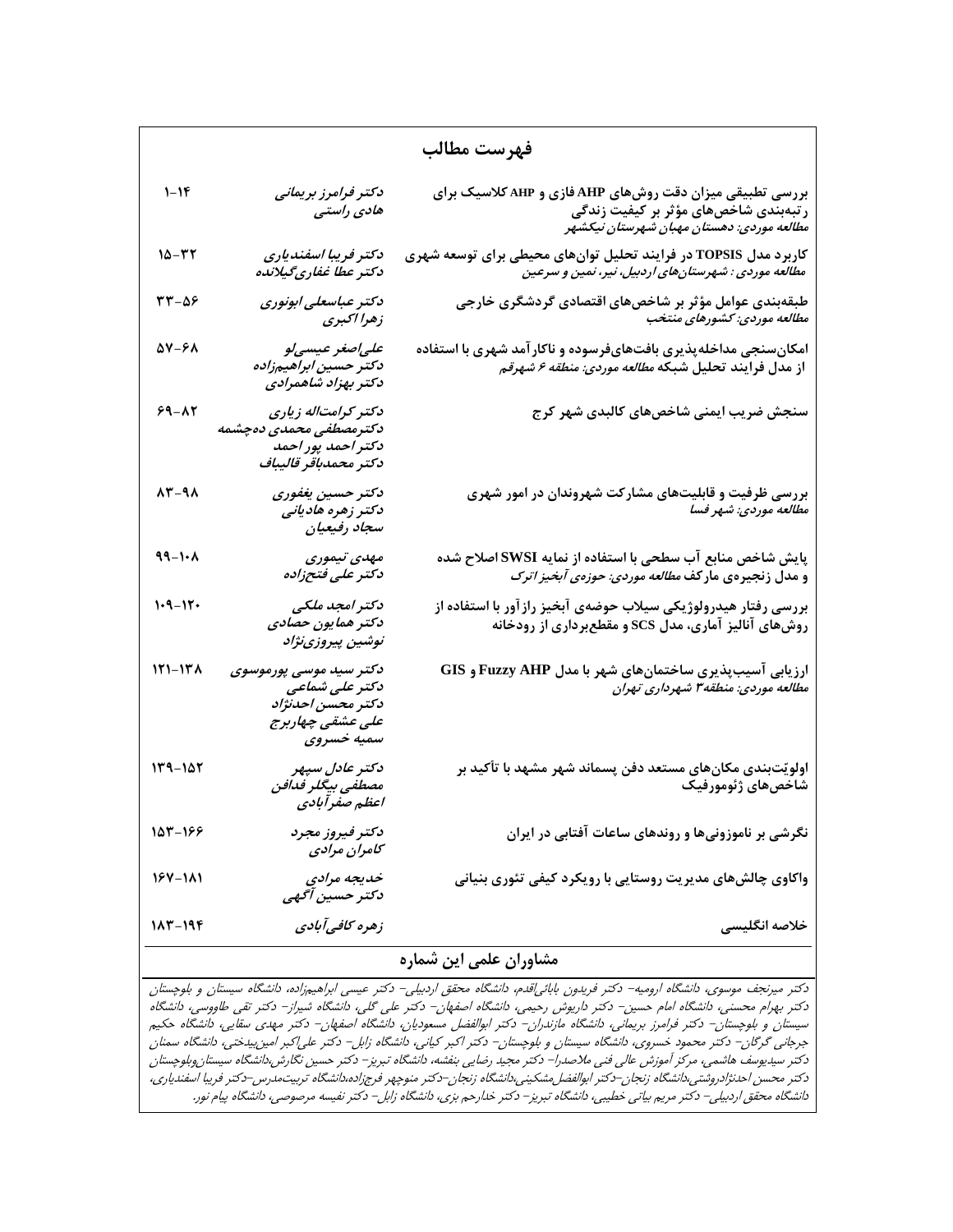| فهرست مطالب   |                                                                                                 |                                                                                                                                                                |  |
|---------------|-------------------------------------------------------------------------------------------------|----------------------------------------------------------------------------------------------------------------------------------------------------------------|--|
| $1 - 1F$      | دكتر فرامرز بريماني<br>هادی راستی                                                               | بررسی تطبیقی میزان دقت روشهای AHP فازی و AHP کلاسیک برای<br>. رس<br>ر تبهبندی شاخصهای مؤثر بر کیفیت زندگی<br>م <i>طالعه موردی: دهستان مهبان شهرستان نیکشهر</i> |  |
| $10 - 57$     | دکتر فریبا اسفندیاری<br>دکتر عطا غفاریگیلانده                                                   | کاربرد مدل TOPSIS در فرایند تحلیل توانهای محیطی برای توسعه شهری<br><i>مطالعه موردی : شهرستانهای اردبیل، نیر، نمین و سرعین</i>                                  |  |
| $rr-\Delta F$ | دكتر عباسعلى ابونورى<br>زهرا اكبرى                                                              | طبقهبندی عوامل مؤثر بر شاخصهای اقتصادی گردشگری خارجی<br>م <i>طالعه موردی: کشورهای منتخب</i>                                                                    |  |
| ۵۷-۶۸         | علىاصغر عيسىلو<br>دكتر حسين ابراهيمزاده<br>دكتر بهزاد شاهمرادى                                  | امکانسنجی مداخلهپذیری بافتهایفرسوده و ناکار آمد شهری با استفاده<br>از مدل فرايند تحليل شبكه <i>مطالعه موردى: منطقه ۶ شهرق</i> م                                |  |
| $59 - XY$     | دکتر کرامتاله زیاری<br>دكترمصطفى محمدى دەچشمە<br>دكتر احمد پور احمد<br>دكتر محمدباقر قاليباف    | سنجش ضریب ایمنی شاخصهای کالبدی شهر کرج                                                                                                                         |  |
| 13-98         | دكتر حسين يغفوري<br>دکتر زهره هادیانی<br>سجاد رفيعيان                                           | بررسی ظرفیت و قابلیتهای مشارکت شهروندان در امور شهری<br>مطالعه موردي: شهر فسا                                                                                  |  |
| $49 - 1.1$    | مهدی تیموری<br>دكتر على فتحزاده                                                                 | پایش شاخص منابع آب سطحی با استفاده از نمایه SWSI اصلاح شده<br>و مدل زنجیرهی مارکف <i>مطالعه موردی: حوزهی آبخیز اترک</i>                                        |  |
| $1 - 9 - 17$  | دکتر امجد ملکی<br>دکتر همایون حصادی<br>نوشين پيروزينژاد                                         | بررسی رفتار هیدرولوژیکی سیلاب حوضهی آبخیز راز آور با استفاده از<br>روشهای آنالیز آماری، مدل SCS و مقطعبرداری از رودخانه                                        |  |
| $171 - 171$   | دکتر سید موسی پورموسوی<br>دکتر علی شماعی<br>دكتر محسن احدنژاد<br>على عشقى چهاربرج<br>سميه خسروى | ارزیابی آسیبپذیری ساختمانهای شهر با مدل Fuzzy AHP و GIS<br>مطالعه موردی: منطقه۳ شهرداری تهران                                                                  |  |
| $119 - 107$   | دکتر عادل سپهر<br>مصطفى بيگلر فدافن<br>اعظم صفرآبادی                                            | اولویّتبندی مکانهای مستعد دفن پسماند شهر مشهد با تأکید بر<br>شاخصهای ژئومورفیک                                                                                 |  |
| 153-166       | دكتر فيروز مجرد<br>كامران مرادى                                                                 | نگرشی بر ناموزونیها و روندهای ساعات آفتابی در ایران                                                                                                            |  |
| 167-181       | خدیجه مرادی<br>دکتر حسین آگهی                                                                   | واکاوی چالشهای مدیریت روستایی با رویکرد کیفی تئوری بنیانی                                                                                                      |  |
| 183-194       | زهره كافي آبادي                                                                                 | خلاصه انگلیسی                                                                                                                                                  |  |

## **مشاوران علمي اين شماره**

دكتر ميرنجف موسوي، دانشگاه اروميه- دكتر فريدون بابائياقدم، دانشگاه محقق اردبيلي- دكتر عيسي ابراهيمزاده، دانشگاه سيستان <sup>و</sup> بلوچستان دكتر بهرام محسني، دانشگاه امام حسين- دكتر داريوش رحيمي، دانشگاه اصفهان- دكتر علي گلي، دانشگاه شيراز- دكتر تقي طاووسي، دانشگاه سيستان <sup>و</sup> بلوچستان- دكتر فرامرز بريماني، دانشگاه مازندران- دكتر ابوالفضل مسعوديان، دانشگاه اصفهان- دكتر مهدي سقايي، دانشگاه حكيم جرجاني گرگان- دكتر محمود خسروي، دانشگاه سيستان <sup>و</sup> بلوچستان- دكتر اكبر كياني، دانشگاه زابل- دكتر علياكبر امينبيدختي، دانشگاه سمنان دكتر سيديوسف هاشمي، مركز آموزش عالي فني ملاصدرا- دكتر مجيد رضايي بنفشه، دانشگاه تبريز- دكتر حسين نگارش،دانشگاه سيستانوبلوچستان دكتر محسن احدنژادروشتي،دانشگاه زنجان-دكتر ابوالفضلمشكيني،دانشگاه زنجان-دكتر منوچهر فرجزاده،دانشگاه تربيتمدرس-دكتر فريبا اسفندياري، دانشگاه محقق اردبيلي- دكتر مريم بياتي خطيبي، دانشگاه تبريز- دكتر خدارحم بزي، دانشگاه زابل- دكتر نفيسه مرصوصي، دانشگاه پيام نور.